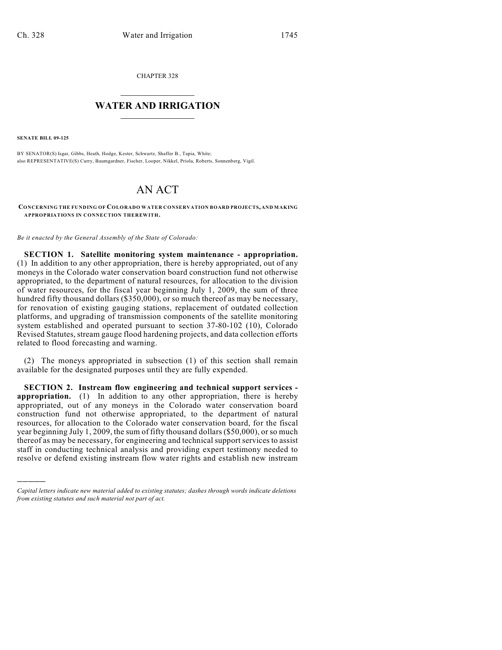CHAPTER 328

## $\mathcal{L}_\text{max}$  . The set of the set of the set of the set of the set of the set of the set of the set of the set of the set of the set of the set of the set of the set of the set of the set of the set of the set of the set **WATER AND IRRIGATION**  $\_$   $\_$

**SENATE BILL 09-125**

)))))

BY SENATOR(S) Isgar, Gibbs, Heath, Hodge, Kester, Schwartz, Shaffer B., Tapia, White; also REPRESENTATIVE(S) Curry, Baumgardner, Fischer, Looper, Nikkel, Priola, Roberts, Sonnenberg, Vigil.

## AN ACT

**CONCERNING THE FUNDING OF COLORADO WATER CONSERVATION BOARD PROJECTS, AND MAKING APPROPRIATIONS IN CONNECTION THEREWITH.**

*Be it enacted by the General Assembly of the State of Colorado:*

**SECTION 1. Satellite monitoring system maintenance - appropriation.** (1) In addition to any other appropriation, there is hereby appropriated, out of any moneys in the Colorado water conservation board construction fund not otherwise appropriated, to the department of natural resources, for allocation to the division of water resources, for the fiscal year beginning July 1, 2009, the sum of three hundred fifty thousand dollars (\$350,000), or so much thereof as may be necessary, for renovation of existing gauging stations, replacement of outdated collection platforms, and upgrading of transmission components of the satellite monitoring system established and operated pursuant to section 37-80-102 (10), Colorado Revised Statutes, stream gauge flood hardening projects, and data collection efforts related to flood forecasting and warning.

(2) The moneys appropriated in subsection (1) of this section shall remain available for the designated purposes until they are fully expended.

**SECTION 2. Instream flow engineering and technical support services appropriation.** (1) In addition to any other appropriation, there is hereby appropriated, out of any moneys in the Colorado water conservation board construction fund not otherwise appropriated, to the department of natural resources, for allocation to the Colorado water conservation board, for the fiscal year beginning July 1, 2009, the sum of fifty thousand dollars (\$50,000), or so much thereof as may be necessary, for engineering and technical support services to assist staff in conducting technical analysis and providing expert testimony needed to resolve or defend existing instream flow water rights and establish new instream

*Capital letters indicate new material added to existing statutes; dashes through words indicate deletions from existing statutes and such material not part of act.*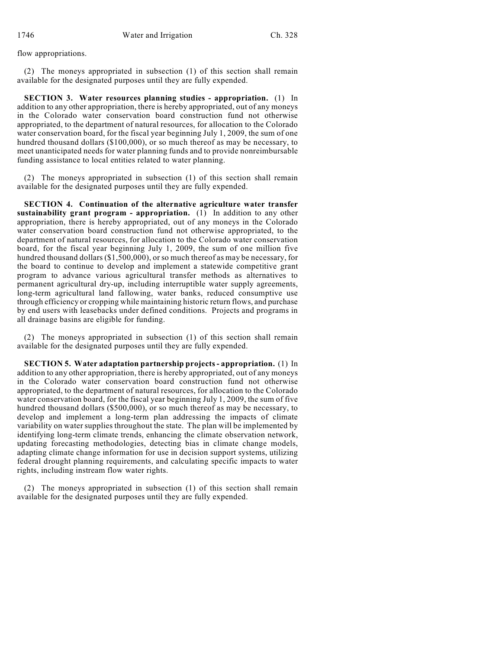flow appropriations.

(2) The moneys appropriated in subsection (1) of this section shall remain available for the designated purposes until they are fully expended.

**SECTION 3. Water resources planning studies - appropriation.** (1) In addition to any other appropriation, there is hereby appropriated, out of any moneys in the Colorado water conservation board construction fund not otherwise appropriated, to the department of natural resources, for allocation to the Colorado water conservation board, for the fiscal year beginning July 1, 2009, the sum of one hundred thousand dollars (\$100,000), or so much thereof as may be necessary, to meet unanticipated needs for water planning funds and to provide nonreimbursable funding assistance to local entities related to water planning.

(2) The moneys appropriated in subsection (1) of this section shall remain available for the designated purposes until they are fully expended.

**SECTION 4. Continuation of the alternative agriculture water transfer sustainability grant program - appropriation.** (1) In addition to any other appropriation, there is hereby appropriated, out of any moneys in the Colorado water conservation board construction fund not otherwise appropriated, to the department of natural resources, for allocation to the Colorado water conservation board, for the fiscal year beginning July 1, 2009, the sum of one million five hundred thousand dollars (\$1,500,000), or so much thereof as may be necessary, for the board to continue to develop and implement a statewide competitive grant program to advance various agricultural transfer methods as alternatives to permanent agricultural dry-up, including interruptible water supply agreements, long-term agricultural land fallowing, water banks, reduced consumptive use through efficiency or cropping while maintaining historic return flows, and purchase by end users with leasebacks under defined conditions. Projects and programs in all drainage basins are eligible for funding.

(2) The moneys appropriated in subsection (1) of this section shall remain available for the designated purposes until they are fully expended.

**SECTION 5. Water adaptation partnership projects - appropriation.** (1) In addition to any other appropriation, there is hereby appropriated, out of any moneys in the Colorado water conservation board construction fund not otherwise appropriated, to the department of natural resources, for allocation to the Colorado water conservation board, for the fiscal year beginning July 1, 2009, the sum of five hundred thousand dollars (\$500,000), or so much thereof as may be necessary, to develop and implement a long-term plan addressing the impacts of climate variability on water supplies throughout the state. The plan will be implemented by identifying long-term climate trends, enhancing the climate observation network, updating forecasting methodologies, detecting bias in climate change models, adapting climate change information for use in decision support systems, utilizing federal drought planning requirements, and calculating specific impacts to water rights, including instream flow water rights.

(2) The moneys appropriated in subsection (1) of this section shall remain available for the designated purposes until they are fully expended.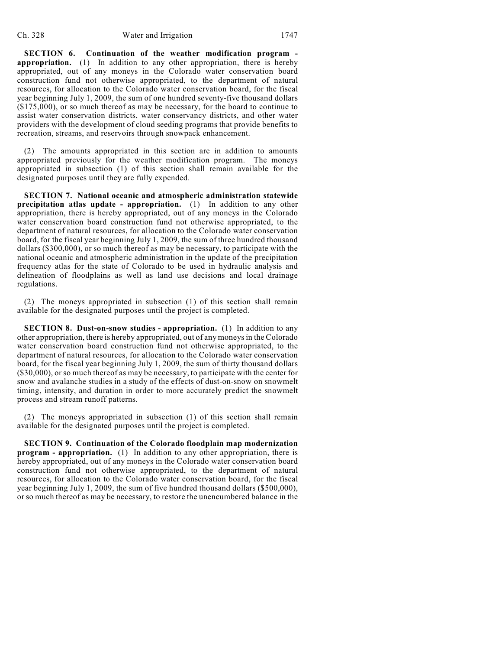**SECTION 6. Continuation of the weather modification program appropriation.** (1) In addition to any other appropriation, there is hereby appropriated, out of any moneys in the Colorado water conservation board construction fund not otherwise appropriated, to the department of natural resources, for allocation to the Colorado water conservation board, for the fiscal year beginning July 1, 2009, the sum of one hundred seventy-five thousand dollars (\$175,000), or so much thereof as may be necessary, for the board to continue to assist water conservation districts, water conservancy districts, and other water providers with the development of cloud seeding programs that provide benefits to recreation, streams, and reservoirs through snowpack enhancement.

(2) The amounts appropriated in this section are in addition to amounts appropriated previously for the weather modification program. The moneys appropriated in subsection (1) of this section shall remain available for the designated purposes until they are fully expended.

**SECTION 7. National oceanic and atmospheric administration statewide precipitation atlas update - appropriation.** (1) In addition to any other appropriation, there is hereby appropriated, out of any moneys in the Colorado water conservation board construction fund not otherwise appropriated, to the department of natural resources, for allocation to the Colorado water conservation board, for the fiscal year beginning July 1, 2009, the sum of three hundred thousand dollars (\$300,000), or so much thereof as may be necessary, to participate with the national oceanic and atmospheric administration in the update of the precipitation frequency atlas for the state of Colorado to be used in hydraulic analysis and delineation of floodplains as well as land use decisions and local drainage regulations.

(2) The moneys appropriated in subsection (1) of this section shall remain available for the designated purposes until the project is completed.

**SECTION 8. Dust-on-snow studies - appropriation.** (1) In addition to any other appropriation, there is hereby appropriated, out of any moneys in the Colorado water conservation board construction fund not otherwise appropriated, to the department of natural resources, for allocation to the Colorado water conservation board, for the fiscal year beginning July 1, 2009, the sum of thirty thousand dollars (\$30,000), or so much thereof as may be necessary, to participate with the center for snow and avalanche studies in a study of the effects of dust-on-snow on snowmelt timing, intensity, and duration in order to more accurately predict the snowmelt process and stream runoff patterns.

(2) The moneys appropriated in subsection (1) of this section shall remain available for the designated purposes until the project is completed.

**SECTION 9. Continuation of the Colorado floodplain map modernization program - appropriation.** (1) In addition to any other appropriation, there is hereby appropriated, out of any moneys in the Colorado water conservation board construction fund not otherwise appropriated, to the department of natural resources, for allocation to the Colorado water conservation board, for the fiscal year beginning July 1, 2009, the sum of five hundred thousand dollars (\$500,000), or so much thereof as may be necessary, to restore the unencumbered balance in the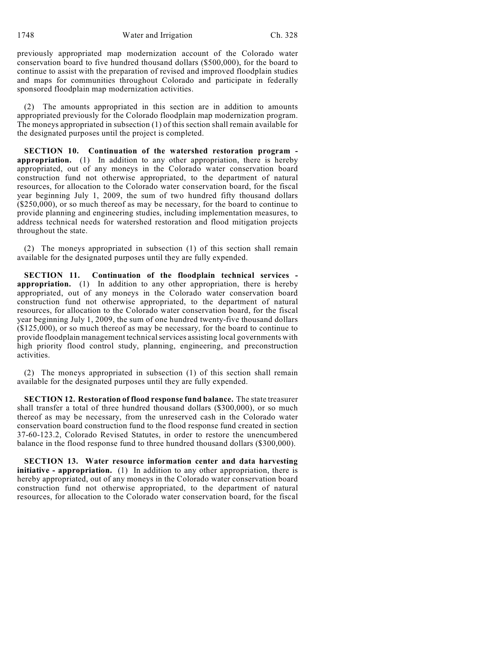1748 Water and Irrigation Ch. 328

previously appropriated map modernization account of the Colorado water conservation board to five hundred thousand dollars (\$500,000), for the board to continue to assist with the preparation of revised and improved floodplain studies and maps for communities throughout Colorado and participate in federally sponsored floodplain map modernization activities.

(2) The amounts appropriated in this section are in addition to amounts appropriated previously for the Colorado floodplain map modernization program. The moneys appropriated in subsection (1) of this section shall remain available for the designated purposes until the project is completed.

**SECTION 10. Continuation of the watershed restoration program appropriation.** (1) In addition to any other appropriation, there is hereby appropriated, out of any moneys in the Colorado water conservation board construction fund not otherwise appropriated, to the department of natural resources, for allocation to the Colorado water conservation board, for the fiscal year beginning July 1, 2009, the sum of two hundred fifty thousand dollars  $(250,000)$ , or so much thereof as may be necessary, for the board to continue to provide planning and engineering studies, including implementation measures, to address technical needs for watershed restoration and flood mitigation projects throughout the state.

(2) The moneys appropriated in subsection (1) of this section shall remain available for the designated purposes until they are fully expended.

**SECTION 11. Continuation of the floodplain technical services appropriation.** (1) In addition to any other appropriation, there is hereby appropriated, out of any moneys in the Colorado water conservation board construction fund not otherwise appropriated, to the department of natural resources, for allocation to the Colorado water conservation board, for the fiscal year beginning July 1, 2009, the sum of one hundred twenty-five thousand dollars (\$125,000), or so much thereof as may be necessary, for the board to continue to provide floodplain management technical services assisting local governments with high priority flood control study, planning, engineering, and preconstruction activities.

(2) The moneys appropriated in subsection (1) of this section shall remain available for the designated purposes until they are fully expended.

**SECTION 12. Restoration of flood response fund balance.** The state treasurer shall transfer a total of three hundred thousand dollars (\$300,000), or so much thereof as may be necessary, from the unreserved cash in the Colorado water conservation board construction fund to the flood response fund created in section 37-60-123.2, Colorado Revised Statutes, in order to restore the unencumbered balance in the flood response fund to three hundred thousand dollars (\$300,000).

**SECTION 13. Water resource information center and data harvesting initiative - appropriation.** (1) In addition to any other appropriation, there is hereby appropriated, out of any moneys in the Colorado water conservation board construction fund not otherwise appropriated, to the department of natural resources, for allocation to the Colorado water conservation board, for the fiscal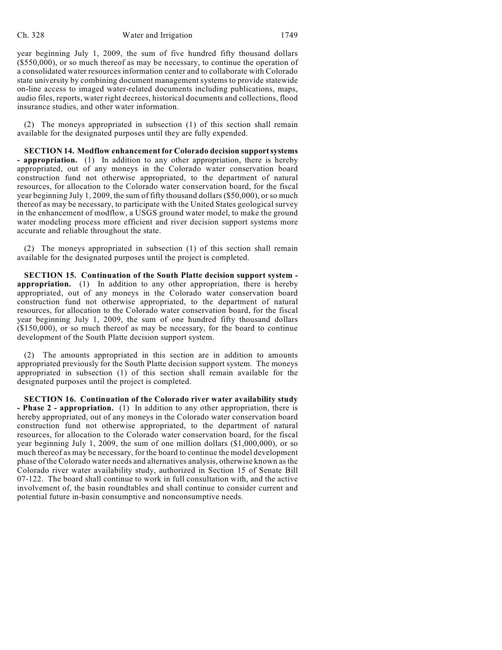year beginning July 1, 2009, the sum of five hundred fifty thousand dollars  $($ \$550,000), or so much thereof as may be necessary, to continue the operation of a consolidated water resources information center and to collaborate with Colorado state university by combining document management systems to provide statewide on-line access to imaged water-related documents including publications, maps, audio files, reports, water right decrees, historical documents and collections, flood insurance studies, and other water information.

(2) The moneys appropriated in subsection (1) of this section shall remain available for the designated purposes until they are fully expended.

**SECTION 14. Modflow enhancement for Colorado decision support systems - appropriation.** (1) In addition to any other appropriation, there is hereby appropriated, out of any moneys in the Colorado water conservation board construction fund not otherwise appropriated, to the department of natural resources, for allocation to the Colorado water conservation board, for the fiscal year beginning July 1, 2009, the sum of fifty thousand dollars (\$50,000), or so much thereof as may be necessary, to participate with the United States geological survey in the enhancement of modflow, a USGS ground water model, to make the ground water modeling process more efficient and river decision support systems more accurate and reliable throughout the state.

(2) The moneys appropriated in subsection (1) of this section shall remain available for the designated purposes until the project is completed.

**SECTION 15. Continuation of the South Platte decision support system appropriation.** (1) In addition to any other appropriation, there is hereby appropriated, out of any moneys in the Colorado water conservation board construction fund not otherwise appropriated, to the department of natural resources, for allocation to the Colorado water conservation board, for the fiscal year beginning July 1, 2009, the sum of one hundred fifty thousand dollars (\$150,000), or so much thereof as may be necessary, for the board to continue development of the South Platte decision support system.

(2) The amounts appropriated in this section are in addition to amounts appropriated previously for the South Platte decision support system. The moneys appropriated in subsection (1) of this section shall remain available for the designated purposes until the project is completed.

**SECTION 16. Continuation of the Colorado river water availability study - Phase 2 - appropriation.** (1) In addition to any other appropriation, there is hereby appropriated, out of any moneys in the Colorado water conservation board construction fund not otherwise appropriated, to the department of natural resources, for allocation to the Colorado water conservation board, for the fiscal year beginning July 1, 2009, the sum of one million dollars (\$1,000,000), or so much thereof as may be necessary, for the board to continue the model development phase ofthe Colorado water needs and alternatives analysis, otherwise known as the Colorado river water availability study, authorized in Section 15 of Senate Bill 07-122. The board shall continue to work in full consultation with, and the active involvement of, the basin roundtables and shall continue to consider current and potential future in-basin consumptive and nonconsumptive needs.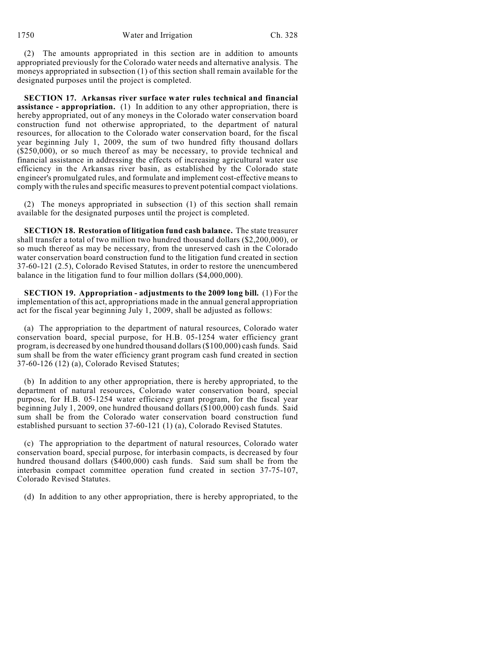(2) The amounts appropriated in this section are in addition to amounts appropriated previously for the Colorado water needs and alternative analysis. The moneys appropriated in subsection (1) of this section shall remain available for the designated purposes until the project is completed.

**SECTION 17. Arkansas river surface water rules technical and financial assistance - appropriation.** (1) In addition to any other appropriation, there is hereby appropriated, out of any moneys in the Colorado water conservation board construction fund not otherwise appropriated, to the department of natural resources, for allocation to the Colorado water conservation board, for the fiscal year beginning July 1, 2009, the sum of two hundred fifty thousand dollars (\$250,000), or so much thereof as may be necessary, to provide technical and financial assistance in addressing the effects of increasing agricultural water use efficiency in the Arkansas river basin, as established by the Colorado state engineer's promulgated rules, and formulate and implement cost-effective means to comply with the rules and specific measures to prevent potential compact violations.

(2) The moneys appropriated in subsection (1) of this section shall remain available for the designated purposes until the project is completed.

**SECTION 18. Restoration of litigation fund cash balance.** The state treasurer shall transfer a total of two million two hundred thousand dollars (\$2,200,000), or so much thereof as may be necessary, from the unreserved cash in the Colorado water conservation board construction fund to the litigation fund created in section 37-60-121 (2.5), Colorado Revised Statutes, in order to restore the unencumbered balance in the litigation fund to four million dollars (\$4,000,000).

**SECTION 19. Appropriation - adjustments to the 2009 long bill.** (1) For the implementation of this act, appropriations made in the annual general appropriation act for the fiscal year beginning July 1, 2009, shall be adjusted as follows:

(a) The appropriation to the department of natural resources, Colorado water conservation board, special purpose, for H.B. 05-1254 water efficiency grant program, is decreased by one hundred thousand dollars (\$100,000) cash funds. Said sum shall be from the water efficiency grant program cash fund created in section 37-60-126 (12) (a), Colorado Revised Statutes;

(b) In addition to any other appropriation, there is hereby appropriated, to the department of natural resources, Colorado water conservation board, special purpose, for H.B. 05-1254 water efficiency grant program, for the fiscal year beginning July 1, 2009, one hundred thousand dollars (\$100,000) cash funds. Said sum shall be from the Colorado water conservation board construction fund established pursuant to section 37-60-121 (1) (a), Colorado Revised Statutes.

(c) The appropriation to the department of natural resources, Colorado water conservation board, special purpose, for interbasin compacts, is decreased by four hundred thousand dollars (\$400,000) cash funds. Said sum shall be from the interbasin compact committee operation fund created in section 37-75-107, Colorado Revised Statutes.

(d) In addition to any other appropriation, there is hereby appropriated, to the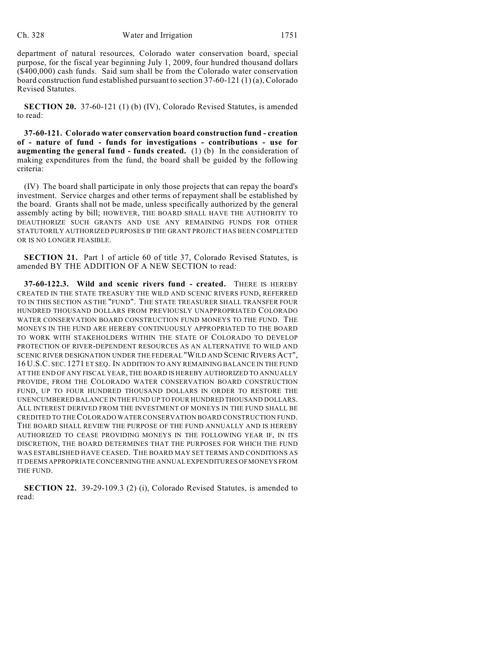department of natural resources, Colorado water conservation board, special purpose, for the fiscal year beginning July 1, 2009, four hundred thousand dollars (\$400,000) cash funds. Said sum shall be from the Colorado water conservation board construction fund established pursuant to section 37-60-121 (1) (a), Colorado Revised Statutes.

**SECTION 20.** 37-60-121 (1) (b) (IV), Colorado Revised Statutes, is amended to read:

**37-60-121. Colorado water conservation board construction fund - creation of - nature of fund - funds for investigations - contributions - use for augmenting the general fund - funds created.** (1) (b) In the consideration of making expenditures from the fund, the board shall be guided by the following criteria:

(IV) The board shall participate in only those projects that can repay the board's investment. Service charges and other terms of repayment shall be established by the board. Grants shall not be made, unless specifically authorized by the general assembly acting by bill; HOWEVER, THE BOARD SHALL HAVE THE AUTHORITY TO DEAUTHORIZE SUCH GRANTS AND USE ANY REMAINING FUNDS FOR OTHER STATUTORILY AUTHORIZED PURPOSES IF THE GRANT PROJECT HAS BEEN COMPLETED OR IS NO LONGER FEASIBLE.

**SECTION 21.** Part 1 of article 60 of title 37, Colorado Revised Statutes, is amended BY THE ADDITION OF A NEW SECTION to read:

**37-60-122.3. Wild and scenic rivers fund - created.** THERE IS HEREBY CREATED IN THE STATE TREASURY THE WILD AND SCENIC RIVERS FUND, REFERRED TO IN THIS SECTION AS THE "FUND". THE STATE TREASURER SHALL TRANSFER FOUR HUNDRED THOUSAND DOLLARS FROM PREVIOUSLY UNAPPROPRIATED COLORADO WATER CONSERVATION BOARD CONSTRUCTION FUND MONEYS TO THE FUND. THE MONEYS IN THE FUND ARE HEREBY CONTINUOUSLY APPROPRIATED TO THE BOARD TO WORK WITH STAKEHOLDERS WITHIN THE STATE OF COLORADO TO DEVELOP PROTECTION OF RIVER-DEPENDENT RESOURCES AS AN ALTERNATIVE TO WILD AND SCENIC RIVER DESIGNATION UNDER THE FEDERAL "WILD AND SCENIC RIVERS ACT", 16 U.S.C. SEC. 1271 ET SEQ. IN ADDITION TO ANY REMAINING BALANCE IN THE FUND AT THE END OF ANY FISCAL YEAR, THE BOARD IS HEREBY AUTHORIZED TO ANNUALLY PROVIDE, FROM THE COLORADO WATER CONSERVATION BOARD CONSTRUCTION FUND, UP TO FOUR HUNDRED THOUSAND DOLLARS IN ORDER TO RESTORE THE UNENCUMBERED BALANCE IN THE FUND UP TO FOUR HUNDRED THOUSAND DOLLARS. ALL INTEREST DERIVED FROM THE INVESTMENT OF MONEYS IN THE FUND SHALL BE CREDITED TO THE COLORADO WATER CONSERVATION BOARD CONSTRUCTION FUND. THE BOARD SHALL REVIEW THE PURPOSE OF THE FUND ANNUALLY AND IS HEREBY AUTHORIZED TO CEASE PROVIDING MONEYS IN THE FOLLOWING YEAR IF, IN ITS DISCRETION, THE BOARD DETERMINES THAT THE PURPOSES FOR WHICH THE FUND WAS ESTABLISHED HAVE CEASED. THE BOARD MAY SET TERMS AND CONDITIONS AS IT DEEMS APPROPRIATE CONCERNING THE ANNUAL EXPENDITURES OF MONEYS FROM THE FUND.

**SECTION 22.** 39-29-109.3 (2) (i), Colorado Revised Statutes, is amended to read: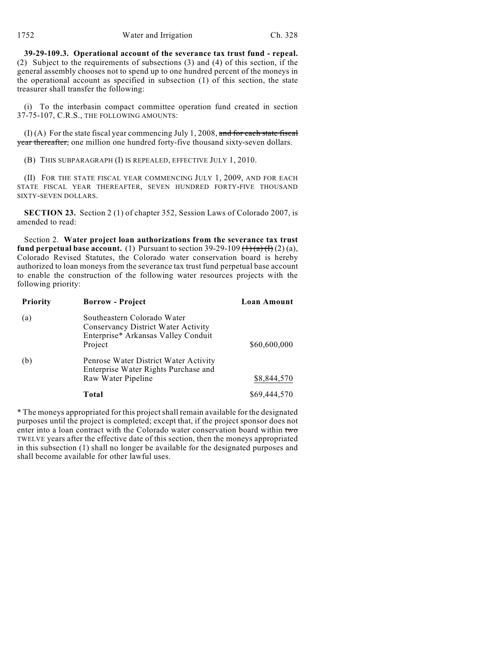**39-29-109.3. Operational account of the severance tax trust fund - repeal.** (2) Subject to the requirements of subsections (3) and (4) of this section, if the general assembly chooses not to spend up to one hundred percent of the moneys in the operational account as specified in subsection (1) of this section, the state treasurer shall transfer the following:

(i) To the interbasin compact committee operation fund created in section 37-75-107, C.R.S., THE FOLLOWING AMOUNTS:

 $(I)$  (A) For the state fiscal year commencing July 1, 2008, and for each state fiscal year thereafter, one million one hundred forty-five thousand sixty-seven dollars.

(B) THIS SUBPARAGRAPH (I) IS REPEALED, EFFECTIVE JULY 1, 2010.

(II) FOR THE STATE FISCAL YEAR COMMENCING JULY 1, 2009, AND FOR EACH STATE FISCAL YEAR THEREAFTER, SEVEN HUNDRED FORTY-FIVE THOUSAND SIXTY-SEVEN DOLLARS.

**SECTION 23.** Section 2 (1) of chapter 352, Session Laws of Colorado 2007, is amended to read:

Section 2. **Water project loan authorizations from the severance tax trust fund perpetual base account.** (1) Pursuant to section 39-29-109  $\left(\frac{1}{a}\right)\left(\frac{1}{a}\right)$  (2) (a), Colorado Revised Statutes, the Colorado water conservation board is hereby authorized to loan moneys from the severance tax trust fund perpetual base account to enable the construction of the following water resources projects with the following priority:

| <b>Priority</b> | <b>Borrow</b> - Project                                                                                              | Loan Amount  |
|-----------------|----------------------------------------------------------------------------------------------------------------------|--------------|
| (a)             | Southeastern Colorado Water<br>Conservancy District Water Activity<br>Enterprise* Arkansas Valley Conduit<br>Project | \$60,600,000 |
| (b)             | Penrose Water District Water Activity<br>Enterprise Water Rights Purchase and<br>Raw Water Pipeline                  | \$8,844,570  |
|                 | Total                                                                                                                | \$69,444,570 |

\* The moneys appropriated for this project shall remain available for the designated purposes until the project is completed; except that, if the project sponsor does not enter into a loan contract with the Colorado water conservation board within two TWELVE years after the effective date of this section, then the moneys appropriated in this subsection (1) shall no longer be available for the designated purposes and shall become available for other lawful uses.